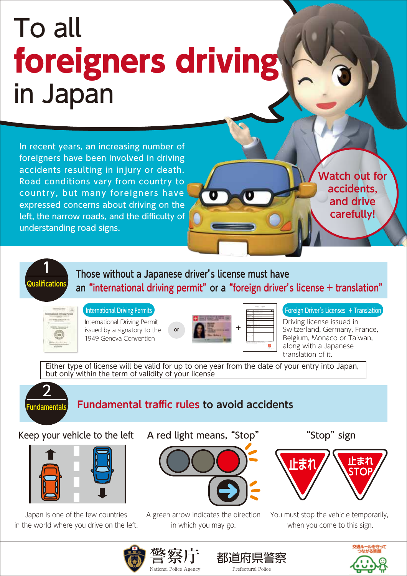## To all foreigners driving in Japan

In recent years, an increasing number of foreigners have been involved in driving accidents resulting in injury or death. Road conditions vary from country to country, but many foreigners have expressed concerns about driving on the left, the narrow roads, and the difficulty of understanding road signs.

**Watch out for accidents, and drive carefully!**



**Those without a Japanese driver's license must have an "international driving permit" or a "foreign driver's license + translation"**





International Driving Permit issued by a signatory to the 1949 Geneva Convention



| <b>CONTRACT</b><br>. .<br>Ŧ<br><b>HEROS</b><br>⇁<br>communication<br><b>CONTRACTO</b><br>120521-0014<br><b>WARR SO</b><br><b>CLOSEL</b><br><b>STATE AND RESEARCH</b><br>---<br>Canada ago<br>-------<br>$2085 - 4 - 4$<br>12211288<br>as CAO<br>1,6,0,0 | <b>MARINE TRATINATION</b><br><b>CONTRACTOR</b> |
|---------------------------------------------------------------------------------------------------------------------------------------------------------------------------------------------------------------------------------------------------------|------------------------------------------------|
|                                                                                                                                                                                                                                                         |                                                |
|                                                                                                                                                                                                                                                         |                                                |
|                                                                                                                                                                                                                                                         |                                                |
|                                                                                                                                                                                                                                                         |                                                |
|                                                                                                                                                                                                                                                         |                                                |
|                                                                                                                                                                                                                                                         |                                                |
|                                                                                                                                                                                                                                                         |                                                |
|                                                                                                                                                                                                                                                         |                                                |
|                                                                                                                                                                                                                                                         |                                                |
|                                                                                                                                                                                                                                                         |                                                |
|                                                                                                                                                                                                                                                         |                                                |
| LATIN RELEASED BY AND CONTRACT TAX PT.<br>The store time was traditional between transitions from other<br>excellent season who<br>indebt control                                                                                                       | <b>Scottistic</b>                              |

International Driving Permits structure of the structure of the structure of the structure of the structure of the structure of the structure of the structure of the structure of the structure of the structure of the struc

Driving license issued in Switzerland, Germany, France, Belgium, Monaco or Taiwan, along with a Japanese translation of it.

Either type of license will be valid for up to one year from the date of your entry into Japan, but only within the term of validity of your license



**Fundamental traffic rules to avoid accidents**

## Keep your vehicle to the left A red light means, "Stop" "Stop" sign



Japan is one of the few countries in the world where you drive on the left.



A green arrow indicates the direction in which you may go.



You must stop the vehicle temporarily, when you come to this sign.